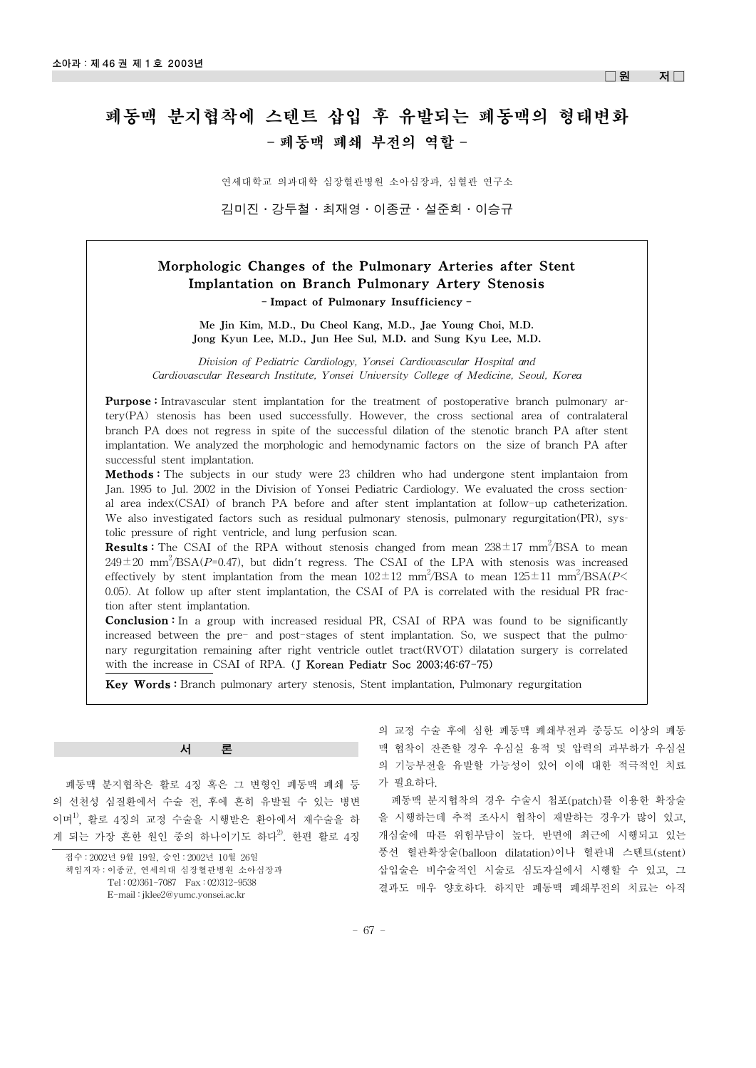$\Box$ 원 저 $\Box$ 

# 폐동맥 분지협착에 스텐트 삽입 후 유발되는 폐동맥의 형태변화 - 폐동맥 폐쇄 부전의 역할 -

연세대학교 의과대학 심장혈관병원 소아심장과, 심혈관 연구소

김미진·강두철·최재영·이종균·설준희·이승규

## Morphologic Changes of the Pulmonary Arteries after Stent Implantation on Branch Pulmonary Artery Stenosis - Impact of Pulmonary Insufficiency -

Me Jin Kim, M.D., Du Cheol Kang, M.D., Jae Young Choi, M.D. Jong Kyun Lee, M.D., Jun Hee Sul, M.D. and Sung Kyu Lee, M.D.

*Division of Pediatric Cardiology, Yonsei Cardiovascular Hospital and Cardiovascular Research Institute, Yonsei University College of Medicine, Seoul, Korea*

**Purpose**: Intravascular stent implantation for the treatment of postoperative branch pulmonary artery(PA) stenosis has been used successfully. However, the cross sectional area of contralateral branch PA does not regress in spite of the successful dilation of the stenotic branch PA after stent implantation. We analyzed the morphologic and hemodynamic factors on the size of branch PA after successful stent implantation.

**Methods**: The subjects in our study were 23 children who had undergone stent implantaion from Jan. 1995 to Jul. 2002 in the Division of Yonsei Pediatric Cardiology. We evaluated the cross sectional area index(CSAI) of branch PA before and after stent implantation at follow-up catheterization. We also investigated factors such as residual pulmonary stenosis, pulmonary regurgitation(PR), systolic pressure of right ventricle, and lung perfusion scan.

**Results:** The CSAI of the RPA without stenosis changed from mean  $238 \pm 17$  mm<sup>2</sup>/BSA to mean  $249 \pm 20$  mm<sup>2</sup>/BSA(*P*=0.47), but didn't regress. The CSAI of the LPA with stenosis was increased effectively by stent implantation from the mean  $102 \pm 12$  mm<sup>2</sup>/BSA to mean  $125 \pm 11$  mm<sup>2</sup>/BSA(*P*< 0.05). At follow up after stent implantation, the CSAI of PA is correlated with the residual PR fraction after stent implantation.

**Conclusion**: In a group with increased residual PR, CSAI of RPA was found to be significantly increased between the pre- and post-stages of stent implantation. So, we suspect that the pulmonary regurgitation remaining after right ventricle outlet tract(RVOT) dilatation surgery is correlated with the increase in CSAI of RPA. (J Korean Pediatr Soc 2003;46:67-75)

Key Words : Branch pulmonary artery stenosis, Stent implantation, Pulmonary regurgitation

서 론

폐동맥 분지협착은 활로 4징 혹은 그 변형인 폐동맥 폐쇄 등 의 선천성 심질환에서 수술 전, 후에 흔히 유발될 수 있는 병변 이며1), 활로 4징의 교정 수술을 시행받은 환아에서 재수술을 하 게 되는 가장 흔한 원인 중의 하나이기도 하다<sup>2)</sup>. 한편 활로 4징

접수 : 2002년 9월 19일, 승인 : 2002년 10월 26일 책임저자 : 이종균, 연세의대 심장혈관병원 소아심장과 Tel : 02)361-7087 Fax : 02)312-9538 E-mail : jklee2@yumc.yonsei.ac.kr

의 교정 수술 후에 심한 폐동맥 폐쇄부전과 중등도 이상의 폐동 맥 협착이 잔존할 경우 우심실 용적 및 압력의 과부하가 우심실 의 기능부전을 유발할 가능성이 있어 이에 대한 적극적인 치료 가 필요하다.

폐동맥 분지협착의 경우 수술시 첩포(patch)를 이용한 확장술 을 시행하는데 추적 조사시 협착이 재발하는 경우가 많이 있고, 개심술에 따른 위험부담이 높다. 반면에 최근에 시행되고 있는 풍선 혈관확장술(balloon dilatation)이나 혈관내 스텐트(stent) 삽입술은 비수술적인 시술로 심도자실에서 시행할 수 있고, 그 결과도 매우 양호하다. 하지만 폐동맥 폐쇄부전의 치료는 아직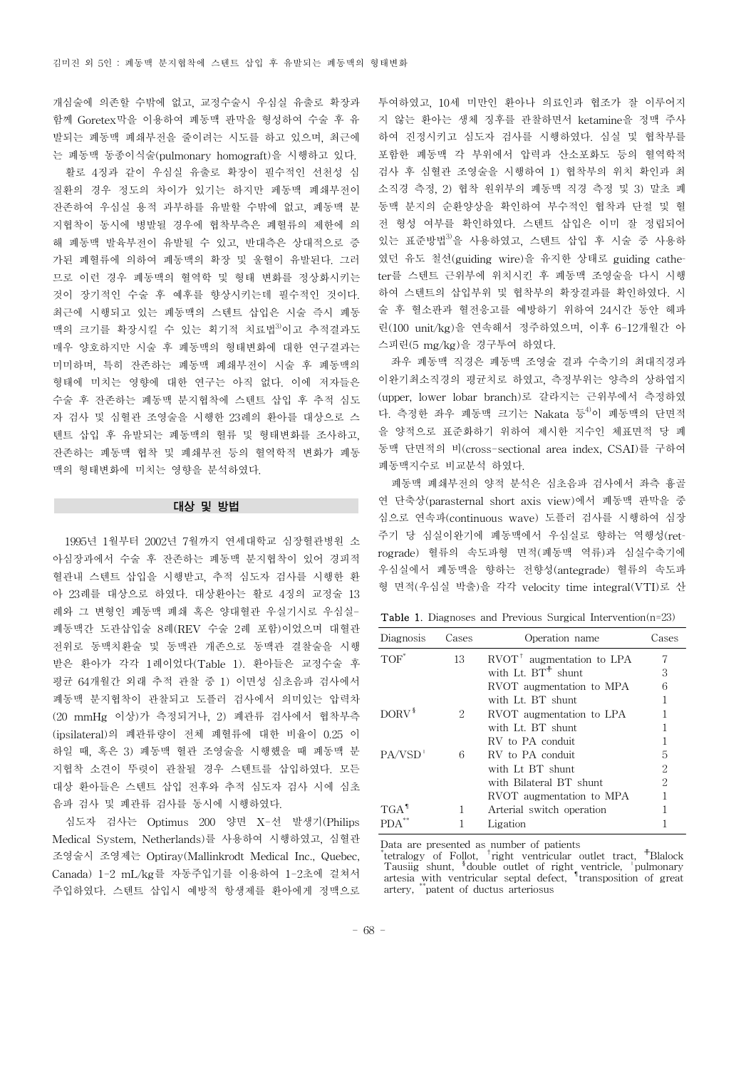개심술에 의존할 수밖에 없고, 교정수술시 우심실 유출로 확장과 함께 Goretex막을 이용하여 폐동맥 판막을 형성하여 수술 후 유 발되는 폐동맥 폐쇄부전을 줄이려는 시도를 하고 있으며, 최근에 는 폐동맥 동종이식술(pulmonary homograft)을 시행하고 있다. 활로 4징과 같이 우심실 유출로 확장이 필수적인 선천성 심 질환의 경우 정도의 차이가 있기는 하지만 페동맥 폐쇄부전이 잔존하여 우심실 용적 과부하를 유발할 수밖에 없고, 폐동맥 분 지협착이 동시에 병발될 경우에 협착부측은 폐혈류의 제한에 의 해 폐동맥 발육부전이 유발될 수 있고, 반대측은 상대적으로 증 가된 폐혈류에 의하여 폐동맥의 확장 및 울혈이 유발된다. 그러 므로 이런 경우 폐동맥의 혈역학 및 형태 변화를 정상화시키는 것이 장기적인 수술 후 예후를 향상시키는데 필수적인 것이다. 최근에 시행되고 있는 폐동맥의 스텐트 삽입은 시술 즉시 폐동 맥의 크기를 확장시킬 수 있는 획기적 치료법<sup>3)</sup>이고 추적결과도 매우 양호하지만 시술 후 폐동맥의 형태변화에 대한 연구결과는 미미하며, 특히 잔존하는 폐동맥 폐쇄부전이 시술 후 폐동맥의 형태에 미치는 영향에 대한 연구는 아직 없다. 이에 저자들은 수술 후 잔존하는 폐동맥 분지협착에 스텐트 삽입 후 추적 심도 자 검사 및 심혈관 조영술을 시행한 23례의 환아를 대상으로 스 텐트 삽입 후 유발되는 폐동맥의 혈류 및 형태변화를 조사하고, 잔존하는 폐동맥 협착 및 폐쇄부전 등의 혈역학적 변화가 폐동 맥의 형태변화에 미치는 영향을 분석하였다.

## 대상 및 방법

1995년 1월부터 2002년 7월까지 연세대학교 심장혈관병원 소 아심장과에서 수술 후 잔존하는 폐동맥 분지협착이 있어 경피적 혈관내 스텐트 삽입을 시행받고, 추적 심도자 검사를 시행한 환 아 23례를 대상으로 하였다. 대상환아는 활로 4징의 교정술 13 례와 그 변형인 폐동맥 폐쇄 혹은 양대혈관 우실기시로 우심실-폐동맥간 도관삽입술 8례(REV 수술 2례 포함)이었으며 대혈관 전위로 동맥치환술 및 동맥관 개존으로 동맥관 결찰술을 시행 받은 환아가 각각 1례이었다(Table 1). 환아들은 교정수술 후 평균 64개월간 외래 추적 관찰 중 1) 이면성 심초음파 검사에서 폐동맥 분지협착이 관찰되고 도플러 검사에서 의미있는 압력차 (20 mmHg 이상)가 측정되거나, 2) 폐관류 검사에서 협착부측 (ipsilateral)의 폐관류량이 전체 폐혈류에 대한 비율이 0.25 이 하일 때, 혹은 3) 폐동맥 혈관 조영술을 시행했을 때 폐동맥 분 지협착 소견이 뚜렷이 관찰될 경우 스텐트를 삽입하였다. 모든 대상 환아들은 스텐트 삽입 전후와 추적 심도자 검사 시에 심초 음파 검사 및 폐관류 검사를 동시에 시행하였다.

심도자 검사는 Optimus 200 양면 X-선 발생기(Philips Medical System, Netherlands)를 사용하여 시행하였고, 심혈관 조영술시 조영제는 Optiray(Mallinkrodt Medical Inc., Quebec, Canada) 1-2 mL/kg를 자동주입기를 이용하여 1-2초에 걸쳐서 주입하였다. 스텐트 삽입시 예방적 항생제를 환아에게 정맥으로 투여하였고, 10세 미만인 환아나 의료인과 협조가 잘 이루어지 지 않는 환아는 생체 징후를 관찰하면서 ketamine을 정맥 주사 하여 진정시키고 심도자 검사를 시행하였다. 심실 및 협착부를 포함한 폐동맥 각 부위에서 압력과 산소포화도 등의 혈역학적 검사 후 심혈관 조영술을 시행하여 1) 협착부의 위치 확인과 최 소직경 측정, 2) 협착 원위부의 폐동맥 직경 측정 및 3) 말초 폐 동맥 분지의 순환양상을 확인하여 부수적인 협착과 단절 및 혈 전 형성 여부를 확인하였다. 스텐트 삽입은 이미 잘 정립되어 있는 표준방법3)을 사용하였고, 스텐트 삽입 후 시술 중 사용하 였던 유도 철선(guiding wire)을 유지한 상태로 guiding catheter를 스텐트 근위부에 위치시킨 후 폐동맥 조영술을 다시 시행 하여 스텐트의 삽입부위 및 협착부의 확장결과를 확인하였다. 시 술 후 혈소판과 혈전응고를 예방하기 위하여 24시간 동안 헤파 린(100 unit/kg)을 연속해서 정주하였으며, 이후 6-12개월간 아 스피린(5 mg/kg)을 경구투여 하였다.

좌우 폐동맥 직경은 폐동맥 조영술 결과 수축기의 최대직경과 이완기최소직경의 평균치로 하였고, 측정부위는 양측의 상하엽지 (upper, lower lobar branch)로 갈라지는 근위부에서 측정하였 다. 측정한 좌우 폐동맥 크기는 Nakata 등<sup>4)</sup>이 폐동맥의 단면적 을 양적으로 표준화하기 위하여 제시한 지수인 체표면적 당 폐 동맥 단면적의 비(cross-sectional area index, CSAI)를 구하여 폐동맥지수로 비교분석 하였다.

폐동맥 폐쇄부전의 양적 분석은 심초음파 검사에서 좌측 흉골 연 단축상(parasternal short axis view)에서 폐동맥 판막을 중 심으로 연속파(continuous wave) 도플러 검사를 시행하여 심장 주기 당 심실이완기에 폐동맥에서 우심실로 향하는 역행성(retrograde) 혈류의 속도파형 면적(폐동맥 역류)과 심실수축기에 우심실에서 폐동맥을 향하는 전향성(antegrade) 혈류의 속도파 형 면적(우심실 박출)을 각각 velocity time integral(VTI)로 산

Table 1. Diagnoses and Previous Surgical Intervention(n=23)

| Diagnosis         | Cases | Operation name                              | <b>Cases</b> |
|-------------------|-------|---------------------------------------------|--------------|
| TOF"              | 13    | $\text{RVOT}^{\dagger}$ augmentation to LPA | 7            |
|                   |       | with Lt. $BT^+$ shunt                       | 3            |
|                   |       | RVOT augmentation to MPA                    | 6            |
|                   |       | with Lt. BT shunt                           |              |
| DORV <sup>§</sup> | 2     | RVOT augmentation to LPA                    |              |
|                   |       | with Lt. BT shunt                           |              |
|                   |       | RV to PA conduit                            |              |
| PA/VSD            | 6     | RV to PA conduit                            | 5            |
|                   |       | with Lt BT shunt                            | 2            |
|                   |       | with Bilateral BT shunt                     | 2            |
|                   |       | RVOT augmentation to MPA                    |              |
| TGA'              |       | Arterial switch operation                   |              |
|                   |       | Ligation                                    |              |

Data are presented as number of patients

\* tetralogy of Follot, †right ventricular outlet tract, ☨Blalock Tausiig shunt, §double outlet of right ventricle, "pulmonary artesia with ventricular septal defect, ¶transposition of great artery, \*\*patent of ductus arteriosus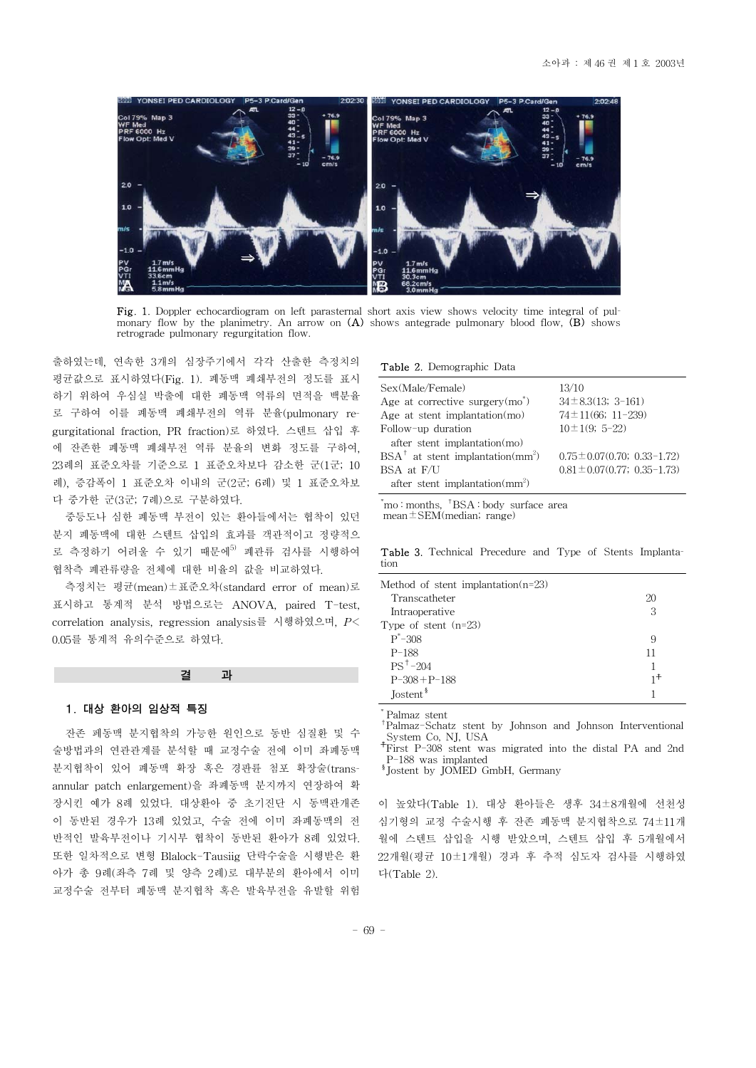

Fig. 1. Doppler echocardiogram on left parasternal short axis view shows velocity time integral of pulmonary flow by the planimetry. An arrow on  $(A)$  shows antegrade pulmonary blood flow,  $(B)$  shows retrograde pulmonary regurgitation flow.

출하였는데, 연속한 3개의 심장주기에서 각각 산출한 측정치의 평균값으로 표시하였다(Fig. 1). 폐동맥 폐쇄부전의 정도를 표시 하기 위하여 우심실 박출에 대한 폐동맥 역류의 면적을 백분율 로 구하여 이를 폐동맥 폐쇄부전의 역류 분율(pulmonary regurgitational fraction, PR fraction)로 하였다. 스텐트 삽입 후 에 잔존한 폐동맥 폐쇄부전 역류 분율의 변화 정도를 구하여, 23례의 표준오차를 기준으로 1 표준오차보다 감소한 군(1군; 10 례), 증감폭이 1 표준오차 이내의 군(2군; 6례) 및 1 표준오차보 다 중가한 군(3군; 7례)으로 구분하였다.

중등도나 심한 폐동맥 부전이 있는 환아들에서는 협착이 있던 분지 폐동맥에 대한 스텐트 삽입의 효과를 객관적이고 정량적으 로 측정하기 어려울 수 있기 때문에<sup>5)</sup> 폐관류 검사를 시행하여 협착측 폐관류량을 전체에 대한 비율의 값을 비교하였다.

측정치는 평균(mean)±표준오차(standard error of mean)로 표시하고 통계적 분석 방법으로는 ANOVA, paired T-test, correlation analysis, regression analysis를 시행하였으며, *P*< 0.05를 통계적 유의수준으로 하였다.

#### 결 과

#### 1. 대상 환아의 임상적 특징

잔존 페동맥 분지협착의 가능한 원인으로 동반 심질환 및 수 술방법과의 연관관계를 분석할 때 교정수술 전에 이미 좌폐동맥 분지협착이 있어 폐동맥 확장 혹은 경판륜 첨포 확장술(transannular patch enlargement)을 좌폐동맥 분지까지 연장하여 확 장시킨 예가 8례 있었다. 대상환아 중 초기진단 시 동맥관개존 이 동반된 경우가 13례 있었고, 수술 전에 이미 좌폐동맥의 전 반적인 발육부전이나 기시부 협착이 동반된 환아가 8례 있었다. 또한 일차적으로 변형 Blalock-Tausiig 단락수술을 시행받은 환 아가 총 9례(좌측 7례 및 양측 2례)로 대부분의 환아에서 이미 교정수술 전부터 폐동맥 분지협착 혹은 발육부전을 유발할 위험

#### Table 2. Demographic Data

| Sex(Male/Female)                                        | 13/10                              |
|---------------------------------------------------------|------------------------------------|
| Age at corrective surgery $(mo^*)$                      | $34 \pm 8.3(13; 3-161)$            |
| Age at stent implantation $(mo)$                        | $74 \pm 11(66; 11-239)$            |
| Follow-up duration                                      | $10 \pm 1(9; 5 - 22)$              |
| after stent implantation(mo)                            |                                    |
| $BSA^{\dagger}$ at stent implantation(mm <sup>2</sup> ) | $0.75 \pm 0.07(0.70; 0.33 - 1.72)$ |
| BSA at F/U                                              | $0.81 \pm 0.07(0.77; 0.35-1.73)$   |
| after stent implantation $\text{mm}^2$ )                |                                    |

\* mo : months, †BSA : body surface area mean $\pm$ SEM(median; range)

Table 3. Technical Precedure and Type of Stents Implantation

| Method of stent implantation( $n=23$ ) |    |
|----------------------------------------|----|
| Transcatheter                          | 20 |
| Intraoperative                         | З  |
| Type of stent $(n=23)$                 |    |
| $P^* - 308$                            | 9  |
| $P-188$                                | 11 |
| $PS^+ - 204$                           |    |
| $P-308 + P-188$                        | 1+ |
| Jostent <sup>§</sup>                   |    |

Palmaz stent

†Palmaz-Schatz stent by Johnson and Johnson Interventional System Co, NJ, USA

☨First P-308 stent was migrated into the distal PA and 2nd P-188 was implanted

§Jostent by JOMED GmbH, Germany

이 높았다(Table 1). 대상 환아들은 생후 34±8개월에 선천성 심기형의 교정 수술시행 후 잔존 폐동맥 분지협착으로 74±11개 월에 스텐트 삽입을 시행 받았으며, 스텐트 삽입 후 5개월에서 22개월(평균 10±1개월) 경과 후 추적 심도자 검사를 시행하였 다(Table 2).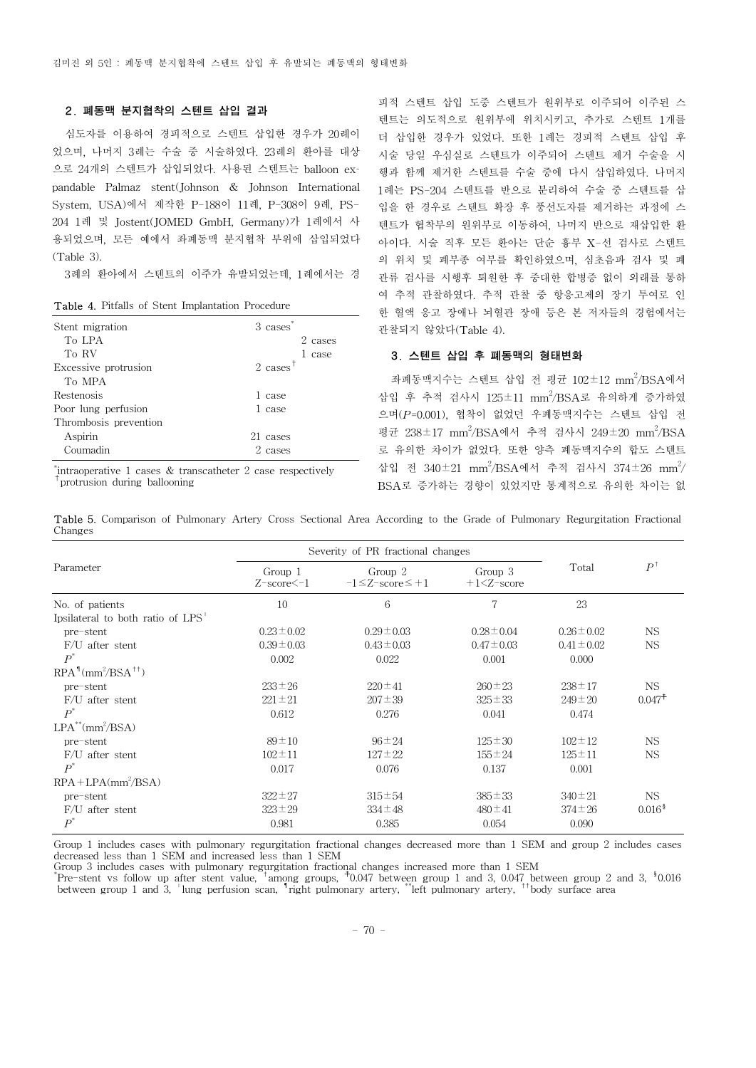## 2. 폐동맥 분지협착의 스텐트 삽입 결과

심도자를 이용하여 경피적으로 스텐트 삽입한 경우가 20례이 었으며, 나머지 3례는 수술 중 시술하였다. 23례의 환아를 대상 으로 24개의 스텐트가 삽입되었다. 사용된 스텐트는 balloon expandable Palmaz stent(Johnson & Johnson International System, USA)에서 제작한 P-188이 11례, P-308이 9례, PS-204 1례 및 Jostent(JOMED GmbH, Germany)가 1례에서 사 용되었으며, 모든 예에서 좌폐동맥 분지협착 부위에 삽입되었다 (Table 3).

3례의 환아에서 스텐트의 이주가 유발되었는데, 1례에서는 경

Table 4. Pitfalls of Stent Implantation Procedure

| Stent migration       | 3 cases <sup>*</sup> |
|-----------------------|----------------------|
| To LPA                | 2 cases              |
| To RV                 | case                 |
| Excessive protrusion  | $2 \text{ cases}$    |
| To MPA                |                      |
| Restenosis            | 1 case               |
| Poor lung perfusion   | 1 case               |
| Thrombosis prevention |                      |
| Aspirin               | 21 cases             |
| Coumadin              | 2 cases              |
|                       |                      |

\* intraoperative 1 cases & transcatheter 2 case respectively †protrusion during ballooning

피적 스텐트 삽입 도중 스텐트가 원위부로 이주되어 이주된 스 텐트는 의도적으로 원위부에 위치시키고, 추가로 스텐트 1개를 더 삽입한 경우가 있었다. 또한 1례는 경피적 스텐트 삽입 후 시술 당일 우심실로 스텐트가 이주되어 스텐트 제거 수술을 시 행과 함께 제거한 스텐트를 수술 중에 다시 삽입하였다. 나머지 1례는 PS-204 스텐트를 반으로 분리하여 수술 중 스텐트를 삽 입을 한 경우로 스텐트 확장 후 풍선도자를 제거하는 과정에 스 텐트가 협착부의 원위부로 이동하여, 나머지 반으로 재삽입한 환 아이다. 시술 직후 모든 환아는 단순 흉부 X-선 검사로 스텐트 의 위치 및 폐부종 여부를 확인하였으며, 심초음파 검사 및 폐 관류 검사를 시행후 퇴원한 후 중대한 합병증 없이 외래를 통하 여 추적 관찰하였다. 추적 관찰 중 항응고제의 장기 투여로 인 한 혈액 응고 장애나 뇌혈관 장애 등은 본 저자들의 경험에서는 관찰되지 않았다(Table 4).

## 3. 스텐트 삽입 후 폐동맥의 형태변화

좌폐동맥지수는 스텐트 삽입 전 평균  $102\pm12$  mm<sup>2</sup>/BSA에서 삽입 후 추적 검사시 125±11 mm<sup>2</sup>/BSA로 유의하게 증가하였 으며(*P*=0.001), 협착이 없었던 우폐동맥지수는 스텐트 삽입 전 평균 238±17 mm<sup>2</sup>/BSA에서 추적 검사시 249±20 mm<sup>2</sup>/BSA 로 유의한 차이가 없었다. 또한 양측 폐동맥지수의 합도 스텐트 삽입 전 340±21 mm<sup>2</sup>/BSA에서 추적 검사시 374±26 mm<sup>2</sup>/ BSA로 증가하는 경향이 있었지만 통계적으로 유의한 차이는 없

Table 5. Comparison of Pulmonary Artery Cross Sectional Area According to the Grade of Pulmonary Regurgitation Fractional Changes

|                                  | Severity of PR fractional changes                                         |                 |                          |                        |                    |
|----------------------------------|---------------------------------------------------------------------------|-----------------|--------------------------|------------------------|--------------------|
| Parameter                        | Group 2<br>Group 1<br>$-1 \leq Z$ -score $\leq +1$<br>$Z$ -score $\le$ -1 |                 | Group 3<br>$+1<$ Z-score | $P^{\dagger}$<br>Total |                    |
| No. of patients                  | 10                                                                        | 6               | 7                        | 23                     |                    |
| Ipsilateral to both ratio of LPS |                                                                           |                 |                          |                        |                    |
| pre-stent                        | $0.23 \pm 0.02$                                                           | $0.29 \pm 0.03$ | $0.28 \pm 0.04$          | $0.26 \pm 0.02$        | NS.                |
| $F/U$ after stent                | $0.39 \pm 0.03$                                                           | $0.43 \pm 0.03$ | $0.47 \pm 0.03$          | $0.41 \pm 0.02$        | NS.                |
| $P^*$                            | 0.002                                                                     | 0.022           | 0.001                    | 0.000                  |                    |
| $RPA1(mm2/BSA††)$                |                                                                           |                 |                          |                        |                    |
| pre-stent                        | $233 \pm 26$                                                              | $220 \pm 41$    | $260 \pm 23$             | $238 \pm 17$           | NS.                |
| $F/U$ after stent                | $221 \pm 21$                                                              | $207 \pm 39$    | $325 \pm 33$             | $249 \pm 20$           | $0.047^+$          |
| $P^*$                            | 0.612                                                                     | 0.276           | 0.041                    | 0.474                  |                    |
| $LPA^{**}(mm^2/BSA)$             |                                                                           |                 |                          |                        |                    |
| pre-stent                        | $89 \pm 10$                                                               | $96 \pm 24$     | $125 \pm 30$             | $102 \pm 12$           | NS.                |
| $F/U$ after stent                | $102 \pm 11$                                                              | $127 \pm 22$    | $155 \pm 24$             | $125 \pm 11$           | NS.                |
| $P^*$                            | 0.017                                                                     | 0.076           | 0.137                    | 0.001                  |                    |
| $RPA + LPA/mm^2 / BSA$           |                                                                           |                 |                          |                        |                    |
| pre-stent                        | $322 \pm 27$                                                              | $315 \pm 54$    | $385 \pm 33$             | $340 \pm 21$           | NS.                |
| $F/U$ after stent                | $323 \pm 29$                                                              | $334 \pm 48$    | $480 \pm 41$             | $374 \pm 26$           | 0.016 <sup>8</sup> |
| $P^*$                            | 0.981                                                                     | 0.385           | 0.054                    | 0.090                  |                    |

Group 1 includes cases with pulmonary regurgitation fractional changes decreased more than 1 SEM and group 2 includes cases decreased less than 1 SEM and increased less than 1 SEM

Group 3 includes cases with pulmonary regurgitation fractional changes increased more than 1 SEM<br>"Pre-stent vs follow up after stent value, <sup>†</sup>among groups, <sup>†</sup>0.047 between group 1 and 3, 0.047 between group 2 and 3, <sup>\$</sup>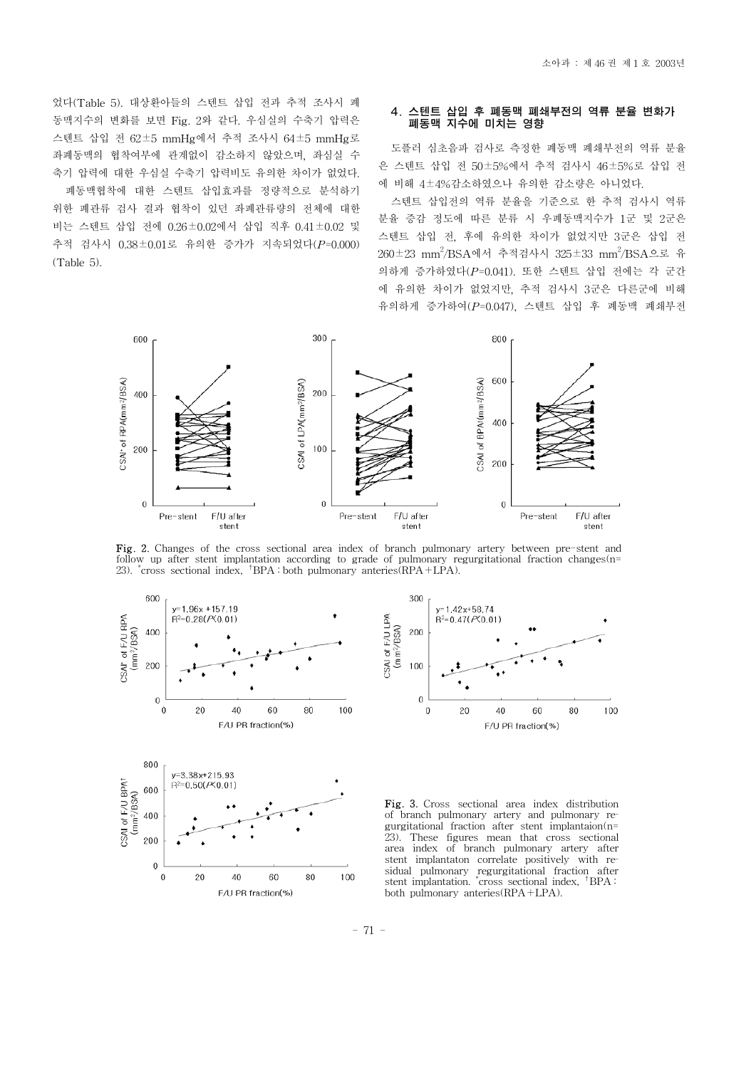었다(Table 5). 대상환아들의 스텐트 삽입 전과 추적 조사시 폐 동맥지수의 변화를 보면 Fig. 2와 같다. 우심실의 수축기 압력은 스텐트 삽입 전 62±5 mmHg에서 추적 조사시 64±5 mmHg로 좌폐동맥의 협착여부에 관계없이 감소하지 않았으며, 좌심실 수 축기 압력에 대한 우심실 수축기 압력비도 유의한 차이가 없었다.

폐동맥협착에 대한 스텐트 삽입효과를 정량적으로 분석하기 위한 폐관류 검사 결과 협착이 있던 좌폐관류량의 전체에 대한 비는 스텐트 삽입 전에 0.26±0.02에서 삽입 직후 0.41±0.02 및 추적 검사시 0.38±0.01로 유의한 증가가 지속되었다(*P*=0.000) (Table 5).

#### 4. 스텐트 삽입 후 폐동맥 폐쇄부전의 역류 분율 변화가 폐동맥 지수에 미치는 영향

도플러 심초음파 검사로 측정한 폐동맥 폐쇄부전의 역류 분율 은 스텐트 삽입 전 50±5%에서 추적 검사시 46±5%로 삽입 전 에 비해 4±4%감소하였으나 유의한 감소량은 아니었다.

스텐트 삽입전의 역류 분율을 기준으로 한 추적 검사시 역류 분율 증감 정도에 따른 분류 시 우폐동맥지수가 1군 및 2군은 스텐트 삽입 전, 후에 유의한 차이가 없었지만 3군은 삽입 전 260±23 mm<sup>2</sup> /BSA에서 추적검사시 325±33 mm<sup>2</sup> /BSA으로 유 의하게 증가하였다(*P*=0.041). 또한 스텐트 삽입 전에는 각 군간 에 유의한 차이가 없었지만, 추적 검사시 3군은 다른군에 비해 유의하게 증가하여(*P*=0.047), 스텐트 삽입 후 폐동맥 폐쇄부전



Fig. 2. Changes of the cross sectional area index of branch pulmonary artery between pre-stent and follow up after stent implantation according to grade of pulmonary regurgitational fraction changes(n= 23). \* cross sectional index, †BPA : both pulmonary anteries(RPA+LPA).





Fig. 3. Cross sectional area index distribution of branch pulmonary artery and pulmonary regurgitational fraction after stent implantaion(n= 23). These figures mean that cross sectional area index of branch pulmonary artery after stent implantaton correlate positively with residual pulmonary regurgitational fraction after stent implantation. \* cross sectional index, †BPA : both pulmonary anteries(RPA+LPA).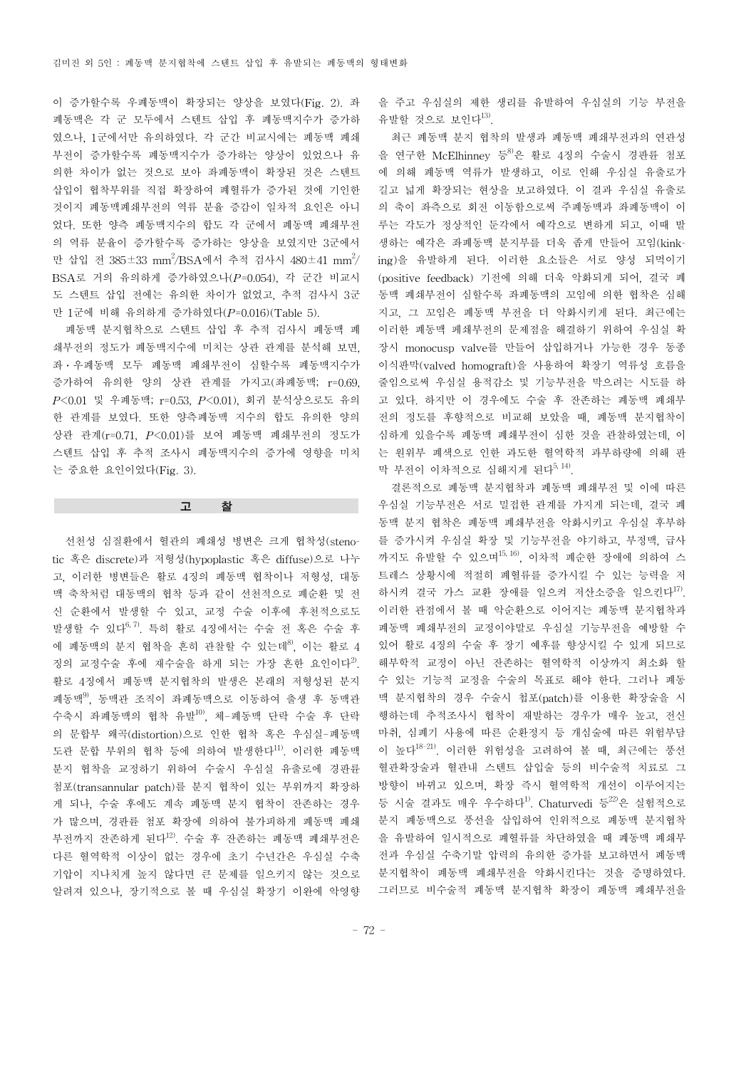이 증가할수록 우폐동맥이 확장되는 양상을 보였다(Fig. 2). 좌 폐동맥은 각 군 모두에서 스텐트 삽입 후 폐동맥지수가 증가하 였으나, 1군에서만 유의하였다. 각 군간 비교시에는 폐동맥 폐쇄 부전이 증가할수록 폐동맥지수가 증가하는 양상이 있었으나 유 의한 차이가 없는 것으로 보아 좌폐동맥이 확장된 것은 스텐트 삽입이 협착부위를 직접 확장하여 폐혈류가 증가된 것에 기인한 것이지 폐동맥폐쇄부전의 역류 분율 증감이 일차적 요인은 아니 었다. 또한 양측 폐동맥지수의 합도 각 군에서 폐동맥 폐쇄부전 의 역류 분율이 증가할수록 증가하는 양상을 보였지만 3군에서 만 삽입 전 385±33 mm<sup>2</sup>/BSA에서 추적 검사시 480±41 mm<sup>2</sup>/ BSA로 거의 유의하게 증가하였으나(*P*=0.054), 각 군간 비교시 도 스텐트 삽입 전에는 유의한 차이가 없었고, 추적 검사시 3군 만 1군에 비해 유의하게 증가하였다(*P*=0.016)(Table 5).

폐동맥 분지협착으로 스텐트 삽입 후 추적 검사시 폐동맥 폐 쇄부전의 정도가 폐동맥지수에 미치는 상관 관계를 분석해 보면, 좌·우폐동맥 모두 폐동맥 폐쇄부전이 심할수록 폐동맥지수가 증가하여 유의한 양의 상관 관계를 가지고(좌폐동맥; r=0.69, *P*<0.01 및 우폐동맥; r=0.53, *P*<0.01), 회귀 분석상으로도 유의 한 관계를 보였다. 또한 양측폐동맥 지수의 합도 유의한 양의 상관 관계(r=0.71, *P*<0.01)를 보여 폐동맥 폐쇄부전의 정도가 스텐트 삽입 후 추적 조사시 폐동맥지수의 증가에 영향을 미치 는 중요한 요인이었다(Fig. 3).

고 찰

선천성 심질환에서 혈관의 폐쇄성 병변은 크게 협착성(stenotic 혹은 discrete)과 저형성(hypoplastic 혹은 diffuse)으로 나누 고, 이러한 병변들은 활로 4징의 폐동맥 협착이나 저형성, 대동 맥 축착처럼 대동맥의 협착 등과 같이 선천적으로 폐순환 및 전 신 순환에서 발생할 수 있고, 교정 수술 이후에 후천적으로도 발생할 수 있다 $^{6, 7)}$ . 특히 활로 4징에서는 수술 전 혹은 수술 후 에 폐동맥의 분지 협착을 흔히 관찰할 수 있는데<sup>8)</sup>, 이는 활로 4 징의 교정수술 후에 재수술을 하게 되는 가장 흔한 요인이다<sup>2)</sup>. 활로 4징에서 폐동맥 분지협착의 발생은 본래의 저형성된 분지 폐동맥9), 동맥관 조직이 좌폐동맥으로 이동하여 출생 후 동맥관 수축시 좌폐동맥의 협착 유발10), 체-폐동맥 단락 수술 후 단락 의 문합부 왜곡(distortion)으로 인한 협착 혹은 우심실-폐동맥 도관 문합 부위의 협착 등에 의하여 발생한다<sup>11)</sup>. 이러한 폐동맥 분지 협착을 교정하기 위하여 수술시 우심실 유출로에 경판륜 첨포(transannular patch)를 분지 협착이 있는 부위까지 확장하 게 되나, 수술 후에도 계속 폐동맥 분지 협착이 잔존하는 경우 가 많으며, 경판륜 첨포 확장에 의하여 불가피하게 폐동맥 폐쇄 부전까지 잔존하게 된다12). 수술 후 잔존하는 폐동맥 폐쇄부전은 다른 혈역학적 이상이 없는 경우에 초기 수년간은 우심실 수축 기압이 지나치게 높지 않다면 큰 문제를 일으키지 않는 것으로 알려져 있으나, 장기적으로 볼 때 우심실 확장기 이완에 악영향 을 주고 우심실의 제한 생리를 유발하여 우심실의 기능 부전을 유발할 것으로 보인다13).

최근 폐동맥 분지 협착의 발생과 폐동맥 폐쇄부전과의 연관성 을 연구한 McElhinney 등 <sup>8</sup>은 활로 4징의 수술시 경판륜 첨포 에 의해 폐동맥 역류가 발생하고, 이로 인해 우심실 유출로가 길고 넓게 확장되는 현상을 보고하였다. 이 결과 우심실 유출로 의 축이 좌측으로 회전 이동함으로써 주폐동맥과 좌폐동맥이 이 루는 각도가 정상적인 둔각에서 예각으로 변하게 되고, 이때 발 생하는 예각은 좌폐동맥 분지부를 더욱 좁게 만들어 꼬임(kinking)을 유발하게 된다. 이러한 요소들은 서로 양성 되먹이기 (positive feedback) 기전에 의해 더욱 악화되게 되어, 결국 폐 동맥 폐쇄부전이 심할수록 좌폐동맥의 꼬임에 의한 협착은 심해 지고, 그 꼬임은 폐동맥 부전을 더 악화시키게 된다. 최근에는 이러한 폐동맥 페쇄부전의 문제점을 해결하기 위하여 우심실 확 장시 monocusp valve를 만들어 삽입하거나 가능한 경우 동종 이식판막(valved homograft)을 사용하여 확장기 역류성 흐름을 줄임으로써 우심실 용적감소 및 기능부전을 막으려는 시도를 하 고 있다. 하지만 이 경우에도 수술 후 잔존하는 폐동맥 폐쇄부 전의 정도를 후향적으로 비교해 보았을 때, 폐동맥 분지협착이 심하게 있을수록 폐동맥 폐쇄부전이 심한 것을 관찰하였는데, 이 는 원위부 폐색으로 인한 과도한 혈역학적 과부하량에 의해 판 막 부전이 이차적으로 심해지게 된다<sup>5, 14)</sup>.

결론적으로 폐동맥 분지협착과 폐동맥 폐쇄부전 및 이에 따른 우심실 기능부전은 서로 밀접한 관계를 가지게 되는데, 결국 폐 동맥 분지 협착은 폐동맥 폐쇄부전을 악화시키고 우심실 후부하 를 증가시켜 우심실 확장 및 기능부전을 야기하고, 부정맥, 급사 까지도 유발할 수 있으며15, 16), 이차적 폐순한 장애에 의하여 스 트레스 상황시에 적절히 폐혈류를 증가시킬 수 있는 능력을 저 하시켜 결국 가스 교환 장애를 일으켜 저산소증을 일으킨다<sup>17)</sup>. 이러한 관점에서 볼 때 악순환으로 이어지는 폐동맥 분지협착과 폐동맥 폐쇄부전의 교정이야말로 우심실 기능부전을 예방할 수 있어 활로 4징의 수술 후 장기 예후를 향상시킬 수 있게 되므로 해부학적 교정이 아닌 잔존하는 혈역학적 이상까지 최소화 할 수 있는 기능적 교정을 수술의 목표로 해야 한다. 그러나 폐동 맥 분지협착의 경우 수술시 첩포(patch)를 이용한 확장술을 시 행하는데 추적조사시 협착이 재발하는 경우가 매우 높고, 전신 마취, 심폐기 사용에 따른 순환정지 등 개심술에 따른 위험부담 이 높다18-21). 이러한 위험성을 고려하여 볼 때, 최근에는 풍선 혈관확장술과 혈관내 스텐트 삽입술 등의 비수술적 치료로 그 방향이 바뀌고 있으며, 확장 즉시 혈역학적 개선이 이루어지는 등 시술 결과도 매우 우수하다<sup>1)</sup>. Chaturvedi 등 $^{22}$ 은 실험적으로 분지 폐동맥으로 풍선을 삽입하여 인위적으로 폐동맥 분지협착 을 유발하여 일시적으로 폐혈류를 차단하였을 때 폐동맥 폐쇄부 전과 우심실 수축기말 압력의 유의한 증가를 보고하면서 폐동맥 분지협착이 폐동맥 폐쇄부전을 악화시킨다는 것을 증명하였다. 그러므로 비수술적 폐동맥 분지협착 확장이 폐동맥 폐쇄부전을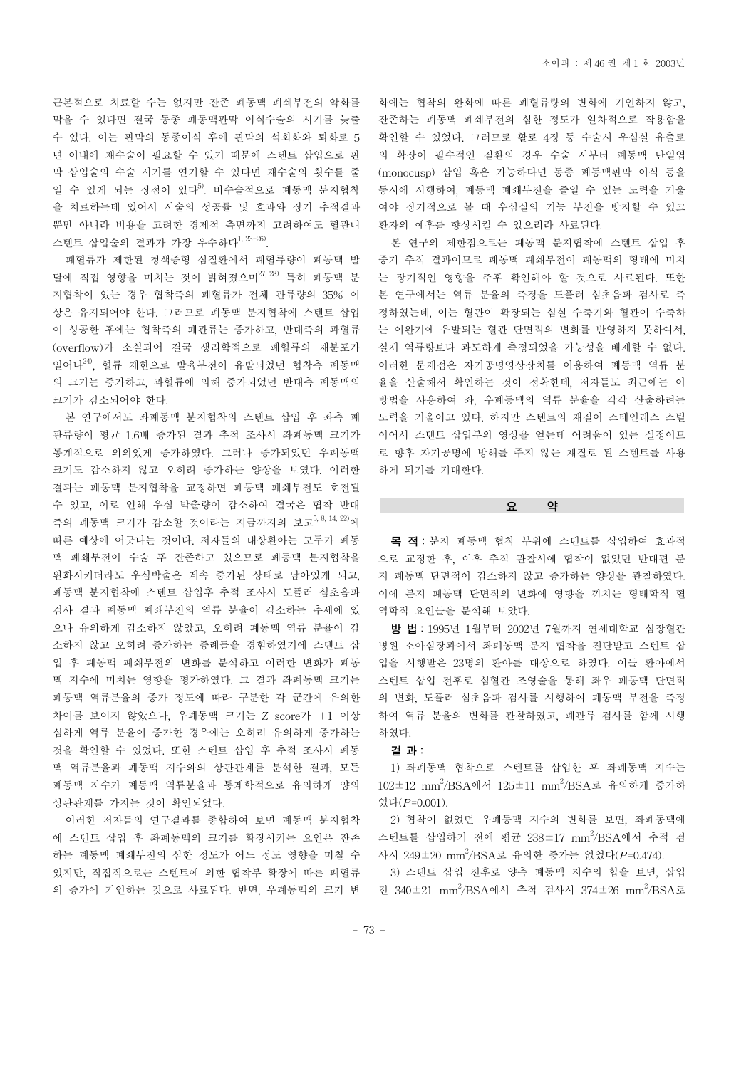근본적으로 치료할 수는 없지만 잔존 폐동맥 폐쇄부전의 악화를 막을 수 있다면 결국 동종 폐동맥판막 이식수술의 시기를 늦출 수 있다. 이는 판막의 동종이식 후에 판막의 석회화와 퇴화로 5 년 이내에 재수술이 필요할 수 있기 때문에 스텐트 삽입으로 판 막 삽입술의 수술 시기를 연기할 수 있다면 재수술의 횟수를 줄 일 수 있게 되는 장점이 있다<sup>5)</sup>. 비수술적으로 폐동맥 분지협착 을 치료하는데 있어서 시술의 성공률 및 효과와 장기 추적결과 뿐만 아니라 비용을 고려한 경제적 측면까지 고려하여도 혈관내 스텐트 삽입술의 결과가 가장 우수하다<sup>1, 23-26)</sup>.

폐혈류가 제한된 청색증형 심질환에서 폐혈류량이 폐동맥 발 달에 직접 영향을 미치는 것이 밝혀졌으며 $^{27, 28)}$  특히 폐동맥 분 지협착이 있는 경우 협착측의 폐혈류가 전체 관류량의 35% 이 상은 유지되어야 한다. 그러므로 폐동맥 분지협착에 스텐트 삽입 이 성공한 후에는 협착측의 폐관류는 증가하고, 반대측의 과혈류 (overflow)가 소실되어 결국 생리학적으로 폐혈류의 재분포가 일어나24), 혈류 제한으로 발육부전이 유발되었던 협착측 폐동맥 의 크기는 증가하고, 과혈류에 의해 증가되었던 반대측 폐동맥의 크기가 감소되어야 한다.

본 연구에서도 좌폐동맥 분지협착의 스텐트 삽입 후 좌측 폐 관류량이 평균 1.6배 증가된 결과 추적 조사시 좌폐동맥 크기가 통계적으로 의의있게 증가하였다. 그러나 증가되었던 우폐동맥 크기도 감소하지 않고 오히려 증가하는 양상을 보였다. 이러한 결과는 폐동맥 분지협착을 교정하면 폐동맥 폐쇄부전도 호전될 수 있고, 이로 인해 우심 박출량이 감소하여 결국은 협착 반대 측의 폐동맥 크기가 감소할 것이라는 지금까지의 보고<sup>5, 8, 14, 22)</sup>에 따른 예상에 어긋나는 것이다. 저자들의 대상환아는 모두가 폐동 맥 폐쇄부전이 수술 후 잔존하고 있으므로 폐동맥 분지협착을 완화시키더라도 우심박출은 계속 증가된 상태로 남아있게 되고, 폐동맥 분지협착에 스텐트 삽입후 추적 조사시 도플러 심초음파 검사 결과 폐동맥 폐쇄부전의 역류 분율이 감소하는 추세에 있 으나 유의하게 감소하지 않았고, 오히려 폐동맥 역류 분율이 감 소하지 않고 오히려 증가하는 증례들을 경험하였기에 스텐트 삽 입 후 폐동맥 폐쇄부전의 변화를 분석하고 이러한 변화가 폐동 맥 지수에 미치는 영향을 평가하였다. 그 결과 좌폐동맥 크기는 폐동맥 역류분율의 증가 정도에 따라 구분한 각 군간에 유의한 차이를 보이지 않았으나, 우폐동맥 크기는 Z-score가 +1 이상 심하게 역류 분율이 증가한 경우에는 오히려 유의하게 증가하는 것을 확인할 수 있었다. 또한 스텐트 삽입 후 추적 조사시 폐동 맥 역류분율과 폐동맥 지수와의 상관관계를 분석한 결과, 모든 폐동맥 지수가 폐동맥 역류분율과 통계학적으로 유의하게 양의 상관관계를 가지는 것이 확인되었다.

이러한 저자들의 연구결과를 종합하여 보면 폐동맥 분지협착 에 스텐트 삽입 후 좌폐동맥의 크기를 확장시키는 요인은 잔존 하는 폐동맥 폐쇄부전의 심한 정도가 어느 정도 영향을 미칠 수 있지만, 직접적으로는 스텐트에 의한 협착부 확장에 따른 폐혈류 의 증가에 기인하는 것으로 사료된다. 반면, 우폐동맥의 크기 변 화에는 협착의 완화에 따른 폐혈류량의 변화에 기인하지 않고, 잔존하는 폐동맥 폐쇄부전의 심한 정도가 일차적으로 작용함을 확인할 수 있었다. 그러므로 활로 4징 등 수술시 우심실 유출로 의 확장이 필수적인 질환의 경우 수술 시부터 폐동맥 단일엽 (monocusp) 삽입 혹은 가능하다면 동종 폐동맥판막 이식 등을 동시에 시행하여, 폐동맥 폐쇄부전을 줄일 수 있는 노력을 기울 여야 장기적으로 볼 때 우심실의 기능 부전을 방지할 수 있고 환자의 예후를 향상시킬 수 있으리라 사료된다.

본 연구의 제한점으로는 폐동맥 분지협착에 스텐트 삽입 후 중기 추적 결과이므로 폐동맥 폐쇄부전이 폐동맥의 형태에 미치 는 장기적인 영향을 추후 확인해야 할 것으로 사료된다. 또한 본 연구에서는 역류 분율의 측정을 도플러 심초음파 검사로 측 정하였는데, 이는 혈관이 확장되는 심실 수축기와 혈관이 수축하 는 이완기에 유발되는 혈관 단면적의 변화를 반영하지 못하여서, 실제 역류량보다 과도하게 측정되었을 가능성을 배제할 수 없다. 이러한 문제점은 자기공명영상장치를 이용하여 폐동맥 역류 분 율을 산출해서 확인하는 것이 정확한데, 저자들도 최근에는 이 방법을 사용하여 좌, 우폐동맥의 역류 분율을 각각 산출하려는 노력을 기울이고 있다. 하지만 스텐트의 재질이 스테인레스 스틸 이어서 스텐트 삽입부의 영상을 얻는데 어려움이 있는 실정이므 로 향후 자기공명에 방해를 주지 않는 재질로 된 스텐트를 사용 하게 되기를 기대한다.

요 약

목 적: 분지 폐동맥 협착 부위에 스텐트를 삽입하여 효과적 으로 교정한 후, 이후 추적 관찰시에 협착이 없었던 반대편 분 지 폐동맥 단면적이 감소하지 않고 증가하는 양상을 관찰하였다. 이에 분지 폐동맥 단면적의 변화에 영향을 끼치는 형태학적 혈 역학적 요인들을 분석해 보았다.

방 법: 1995년 1월부터 2002년 7월까지 연세대학교 심장혈관 병원 소아심장과에서 좌폐동맥 분지 협착을 진단받고 스텐트 삽 입을 시행받은 23명의 환아를 대상으로 하였다. 이들 환아에서 스텐트 삽입 전후로 심혈관 조영술을 통해 좌우 폐동맥 단면적 의 변화, 도플러 심초음파 검사를 시행하여 폐동맥 부전을 측정 하여 역류 분율의 변화를 관찰하였고, 폐관류 검사를 함께 시행 하였다.

#### 결 과:

1) 좌폐동맥 협착으로 스텐트를 삽입한 후 좌폐동맥 지수는 102±12 mm<sup>2</sup>/BSA에서 125±11 mm<sup>2</sup>/BSA로 유의하게 증가하 였다(*P*=0.001).

2) 협착이 없었던 우폐동맥 지수의 변화를 보면, 좌폐동맥에 스텐트를 삽입하기 전에 평균  $238\pm17$  mm<sup>2</sup>/BSA에서 추적 검 사시 249±20 mm<sup>2</sup> /BSA로 유의한 증가는 없었다(*P*=0.474).

3) 스텐트 삽입 전후로 양측 폐동맥 지수의 합을 보면, 삽입 전 340±21 mm<sup>2</sup>/BSA에서 추적 검사시 374±26 mm<sup>2</sup>/BSA로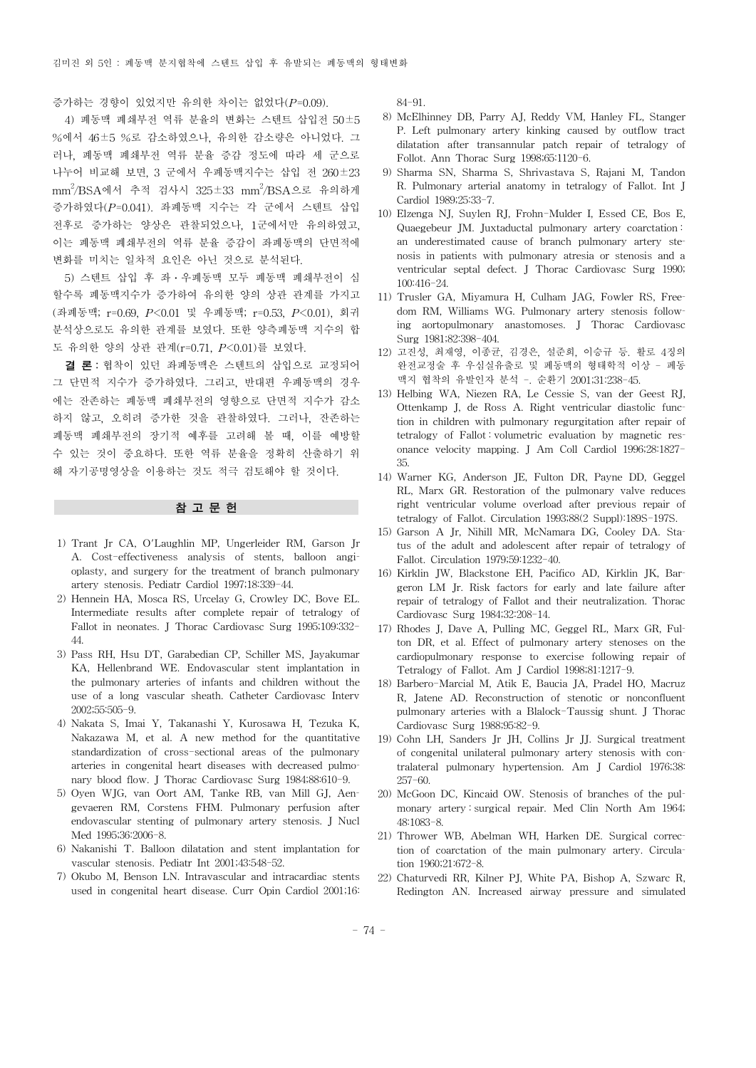증가하는 경향이 있었지만 유의한 차이는 없었다(*P*=0.09).

4) 폐동맥 폐쇄부전 역류 분율의 변화는 스텐트 삽입전 50±5 %에서 46±5 %로 감소하였으나, 유의한 감소량은 아니었다. 그 러나, 폐동맥 폐쇄부전 역류 분율 증감 정도에 따라 세 군으로 나누어 비교해 보면, 3 군에서 우폐동맥지수는 삽입 전 260±23 mm<sup>2</sup> /BSA에서 추적 검사시 325±33 mm<sup>2</sup> /BSA으로 유의하게 증가하였다(*P*=0.041). 좌폐동맥 지수는 각 군에서 스텐트 삽입 전후로 증가하는 양상은 관찰되었으나, 1군에서만 유의하였고, 이는 폐동맥 폐쇄부전의 역류 분율 증감이 좌폐동맥의 단면적에 변화를 미치는 일차적 요인은 아닌 것으로 분석된다.

5) 스텐트 삽입 후 좌·우폐동맥 모두 폐동맥 폐쇄부전이 심 할수록 폐동맥지수가 증가하여 유의한 양의 상관 관계를 가지고 (좌폐동맥; r=0.69, *P*<0.01 및 우폐동맥; r=0.53, *P*<0.01), 회귀 분석상으로도 유의한 관계를 보였다. 또한 양측폐동맥 지수의 합 도 유의한 양의 상관 관계(r=0.71, *P*<0.01)를 보였다.

결 론: 협착이 있던 좌폐동맥은 스텐트의 삽입으로 교정되어 그 단면적 지수가 증가하였다. 그리고, 반대편 우폐동맥의 경우 에는 잔존하는 폐동맥 폐쇄부전의 영향으로 단면적 지수가 감소 하지 않고, 오히려 증가한 것을 관찰하였다. 그러나, 잔존하는 폐동맥 폐쇄부전의 장기적 예후를 고려해 볼 때, 이를 예방할 수 있는 것이 중요하다. 또한 역류 분율을 정확히 산출하기 위 해 자기공명영상을 이용하는 것도 적극 검토해야 할 것이다.

## 참고문헌

- 1) Trant Jr CA, O'Laughlin MP, Ungerleider RM, Garson Jr A. Cost-effectiveness analysis of stents, balloon angioplasty, and surgery for the treatment of branch pulmonary artery stenosis. Pediatr Cardiol 1997;18:339-44.
- 2) Hennein HA, Mosca RS, Urcelay G, Crowley DC, Bove EL. Intermediate results after complete repair of tetralogy of Fallot in neonates. J Thorac Cardiovasc Surg 1995;109:332- 44.
- 3) Pass RH, Hsu DT, Garabedian CP, Schiller MS, Jayakumar KA, Hellenbrand WE. Endovascular stent implantation in the pulmonary arteries of infants and children without the use of a long vascular sheath. Catheter Cardiovasc Interv 2002;55:505-9.
- 4) Nakata S, Imai Y, Takanashi Y, Kurosawa H, Tezuka K, Nakazawa M, et al. A new method for the quantitative standardization of cross-sectional areas of the pulmonary arteries in congenital heart diseases with decreased pulmonary blood flow. J Thorac Cardiovasc Surg 1984;88:610-9.
- 5) Oyen WJG, van Oort AM, Tanke RB, van Mill GJ, Aengevaeren RM, Corstens FHM. Pulmonary perfusion after endovascular stenting of pulmonary artery stenosis. J Nucl Med 1995;36:2006-8.
- 6) Nakanishi T. Balloon dilatation and stent implantation for vascular stenosis. Pediatr Int 2001;43:548-52.
- 7) Okubo M, Benson LN. Intravascular and intracardiac stents used in congenital heart disease. Curr Opin Cardiol 2001;16:

84-91.

- 8) McElhinney DB, Parry AJ, Reddy VM, Hanley FL, Stanger P. Left pulmonary artery kinking caused by outflow tract dilatation after transannular patch repair of tetralogy of Follot. Ann Thorac Surg 1998;65:1120-6.
- 9) Sharma SN, Sharma S, Shrivastava S, Rajani M, Tandon R. Pulmonary arterial anatomy in tetralogy of Fallot. Int J Cardiol 1989;25:33-7.
- 10) Elzenga NJ, Suylen RJ, Frohn-Mulder I, Essed CE, Bos E, Quaegebeur JM. Juxtaductal pulmonary artery coarctation : an underestimated cause of branch pulmonary artery stenosis in patients with pulmonary atresia or stenosis and a ventricular septal defect. J Thorac Cardiovasc Surg 1990; 100:416-24.
- 11) Trusler GA, Miyamura H, Culham JAG, Fowler RS, Freedom RM, Williams WG. Pulmonary artery stenosis following aortopulmonary anastomoses. J Thorac Cardiovasc Surg 1981;82:398-404.
- 12) 고진성, 최재영, 이종균, 김경은, 설준희, 이승규 등. 활로 4징의 완전교정술 후 우심실유출로 및 폐동맥의 형태학적 이상 - 폐동 맥지 협착의 유발인자 분석 -. 순환기 2001;31:238-45.
- 13) Helbing WA, Niezen RA, Le Cessie S, van der Geest RJ, Ottenkamp J, de Ross A. Right ventricular diastolic function in children with pulmonary regurgitation after repair of tetralogy of Fallot : volumetric evaluation by magnetic resonance velocity mapping. J Am Coll Cardiol 1996;28:1827- 35.
- 14) Warner KG, Anderson JE, Fulton DR, Payne DD, Geggel RL, Marx GR. Restoration of the pulmonary valve reduces right ventricular volume overload after previous repair of tetralogy of Fallot. Circulation 1993;88(2 Suppl):189S-197S.
- 15) Garson A Jr, Nihill MR, McNamara DG, Cooley DA. Status of the adult and adolescent after repair of tetralogy of Fallot. Circulation 1979;59:1232-40.
- 16) Kirklin JW, Blackstone EH, Pacifico AD, Kirklin JK, Bargeron LM Jr. Risk factors for early and late failure after repair of tetralogy of Fallot and their neutralization. Thorac Cardiovasc Surg 1984;32:208-14.
- 17) Rhodes J, Dave A, Pulling MC, Geggel RL, Marx GR, Fulton DR, et al. Effect of pulmonary artery stenoses on the cardiopulmonary response to exercise following repair of Tetralogy of Fallot. Am J Cardiol 1998;81:1217-9.
- 18) Barbero-Marcial M, Atik E, Baucia JA, Pradel HO, Macruz R, Jatene AD. Reconstruction of stenotic or nonconfluent pulmonary arteries with a Blalock-Taussig shunt. J Thorac Cardiovasc Surg 1988;95:82-9.
- 19) Cohn LH, Sanders Jr JH, Collins Jr JJ. Surgical treatment of congenital unilateral pulmonary artery stenosis with contralateral pulmonary hypertension. Am J Cardiol 1976;38: 257-60.
- 20) McGoon DC, Kincaid OW. Stenosis of branches of the pulmonary artery : surgical repair. Med Clin North Am 1964; 48:1083-8.
- 21) Thrower WB, Abelman WH, Harken DE. Surgical correction of coarctation of the main pulmonary artery. Circulation 1960;21:672-8.
- 22) Chaturvedi RR, Kilner PJ, White PA, Bishop A, Szwarc R, Redington AN. Increased airway pressure and simulated